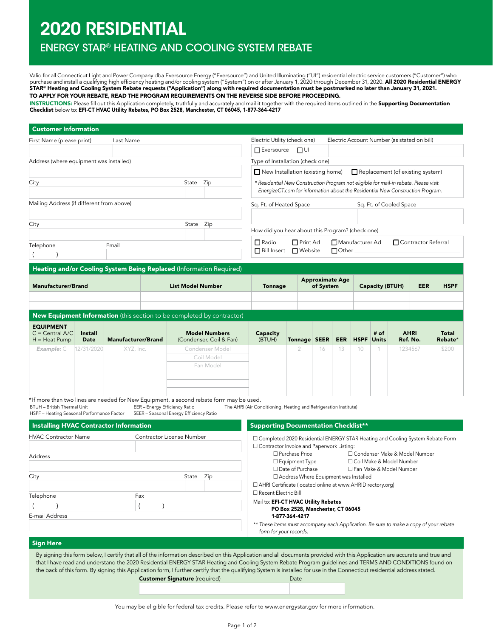# 2020 RESIDENTIAL

HVAC Contractor Name Contractor License Number

City **State Zip** 

Telephone **Fax**  $($  )  $|$  ( )

## ENERGY STAR® HEATING AND COOLING SYSTEM REBATE

Valid for all Connecticut Light and Power Company dba Eversource Energy ("Eversource") and United Illuminating ("UI") residential electric service customers ("Customer") who purchase and install a qualifying high efficiency heating and/or cooling system ("System") on or after January 1, 2020 through December 31, 2020. **All 2020 Residential ENERGY**<br>**STAR® Heating and Cooling System Rebate reque** TO APPLY FOR YOUR REBATE, READ THE PROGRAM REQUIREMENTS ON THE REVERSE SIDE BEFORE PROCEEDING.

INSTRUCTIONS: Please fill out this Application completely, truthfully and accurately and mail it together with the required items outlined in the Supporting Documentation Checklist below to: EFI-CT HVAC Utility Rebates, PO Box 2528, Manchester, CT 06045, 1-877-364-4217

| First Name (please print)                                                                 |                                  | Last Name                                                                                                                      |                                                                        | Electric Utility (check one)<br>Electric Account Number (as stated on bill) |                                                                                                                                                                        |                                     |            |             |                         |  |                                  |                  |  |
|-------------------------------------------------------------------------------------------|----------------------------------|--------------------------------------------------------------------------------------------------------------------------------|------------------------------------------------------------------------|-----------------------------------------------------------------------------|------------------------------------------------------------------------------------------------------------------------------------------------------------------------|-------------------------------------|------------|-------------|-------------------------|--|----------------------------------|------------------|--|
|                                                                                           |                                  |                                                                                                                                |                                                                        | $\Box$ Eversource                                                           | $\Box$ UI                                                                                                                                                              |                                     |            |             |                         |  |                                  |                  |  |
| Address (where equipment was installed)                                                   | Type of Installation (check one) |                                                                                                                                |                                                                        |                                                                             |                                                                                                                                                                        |                                     |            |             |                         |  |                                  |                  |  |
|                                                                                           |                                  |                                                                                                                                |                                                                        | New Installation (existing home)                                            |                                                                                                                                                                        |                                     |            |             |                         |  | Replacement (of existing system) |                  |  |
| City                                                                                      |                                  |                                                                                                                                | State Zip                                                              |                                                                             | * Residential New Construction Program not eligible for mail-in rebate. Please visit<br>EnergizeCT.com for information about the Residential New Construction Program. |                                     |            |             |                         |  |                                  |                  |  |
| Mailing Address (if different from above)                                                 |                                  |                                                                                                                                |                                                                        | Sq. Ft. of Heated Space                                                     |                                                                                                                                                                        |                                     |            |             | Sq. Ft. of Cooled Space |  |                                  |                  |  |
| City                                                                                      |                                  |                                                                                                                                | State Zip                                                              |                                                                             | How did you hear about this Program? (check one)                                                                                                                       |                                     |            |             |                         |  |                                  |                  |  |
| Telephone                                                                                 |                                  | $\Box$ Radio<br>$\Box$ Print Ad<br>Manufacturer Ad<br>□ Contractor Referral<br>□ Bill Insert<br>$\Box$ Website<br>$\Box$ Other |                                                                        |                                                                             |                                                                                                                                                                        |                                     |            |             |                         |  |                                  |                  |  |
|                                                                                           |                                  |                                                                                                                                | Heating and/or Cooling System Being Replaced (Information Required)    |                                                                             |                                                                                                                                                                        |                                     |            |             |                         |  |                                  |                  |  |
|                                                                                           |                                  |                                                                                                                                |                                                                        |                                                                             |                                                                                                                                                                        |                                     |            |             |                         |  |                                  |                  |  |
| <b>Manufacturer/Brand</b>                                                                 |                                  |                                                                                                                                | <b>List Model Number</b>                                               | <b>Tonnage</b>                                                              |                                                                                                                                                                        | <b>Approximate Age</b><br>of System |            |             | <b>Capacity (BTUH)</b>  |  | <b>EER</b>                       | <b>HSPF</b>      |  |
|                                                                                           |                                  |                                                                                                                                | New Equipment Information (this section to be completed by contractor) |                                                                             |                                                                                                                                                                        |                                     |            |             |                         |  |                                  |                  |  |
| <b>EQUIPMENT</b><br>$C = Central A/C$<br><b>Install</b><br>$H = Heat Pump$<br><b>Date</b> |                                  | <b>Manufacturer/Brand</b>                                                                                                      | <b>Model Numbers</b><br>(Condenser, Coil & Fan)                        | Capacity<br>(BTUH)                                                          | Tonnage SEER                                                                                                                                                           |                                     | <b>EER</b> | <b>HSPF</b> | # of<br><b>Units</b>    |  | <b>AHRI</b><br>Ref. No.          | Total<br>Rebate* |  |
| 12/31/2020<br>Example: $C$                                                                |                                  | XYZ, Inc.                                                                                                                      | Condenser Model<br>Coil Model<br>Fan Model                             |                                                                             | 2                                                                                                                                                                      | 16                                  | 13         | 10          |                         |  | 1234567                          | \$200            |  |

#### Sign Here

E-mail Address

Address

By signing this form below, I certify that all of the information described on this Application and all documents provided with this Application are accurate and true and that I have read and understand the 2020 Residential ENERGY STAR Heating and Cooling System Rebate Program guidelines and TERMS AND CONDITIONS found on the back of this form. By signing this Application form, I further certify that the qualifying System is installed for use in the Connecticut residential address stated. Customer Signature (required) and Date

m Completed 2020 Residential ENERGY STAR Heating and Cooling System Rebate Form

□ Purchase Price m Condenser Make & Model Number □ Equipment Type <br>
□ Coil Make & Model Number □ Date of Purchase DFan Make & Model Number

*\*\* These items must accompany each Application. Be sure to make a copy of your rebate* 

□ Contractor Invoice and Paperwork Listing:

Mail to: EFI-CT HVAC Utility Rebates

1-877-364-4217

*form for your records.*

□ Recent Electric Bill

 $\Box$  Address Where Equipment was Installed m AHRI Certificate (located online at www.AHRIDirectory.org)

PO Box 2528, Manchester, CT 06045

You may be eligible for federal tax credits. Please refer to www.energystar.gov for more information.